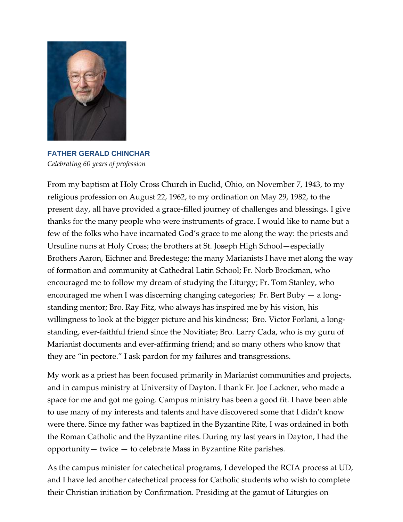

**FATHER GERALD CHINCHAR** *Celebrating 60 years of profession*

From my baptism at Holy Cross Church in Euclid, Ohio, on November 7, 1943, to my religious profession on August 22, 1962, to my ordination on May 29, 1982, to the present day, all have provided a grace-filled journey of challenges and blessings. I give thanks for the many people who were instruments of grace. I would like to name but a few of the folks who have incarnated God's grace to me along the way: the priests and Ursuline nuns at Holy Cross; the brothers at St. Joseph High School—especially Brothers Aaron, Eichner and Bredestege; the many Marianists I have met along the way of formation and community at Cathedral Latin School; Fr. Norb Brockman, who encouraged me to follow my dream of studying the Liturgy; Fr. Tom Stanley, who encouraged me when I was discerning changing categories; Fr. Bert Buby — a longstanding mentor; Bro. Ray Fitz, who always has inspired me by his vision, his willingness to look at the bigger picture and his kindness; Bro. Victor Forlani, a longstanding, ever-faithful friend since the Novitiate; Bro. Larry Cada, who is my guru of Marianist documents and ever-affirming friend; and so many others who know that they are "in pectore." I ask pardon for my failures and transgressions.

My work as a priest has been focused primarily in Marianist communities and projects, and in campus ministry at University of Dayton. I thank Fr. Joe Lackner, who made a space for me and got me going. Campus ministry has been a good fit. I have been able to use many of my interests and talents and have discovered some that I didn't know were there. Since my father was baptized in the Byzantine Rite, I was ordained in both the Roman Catholic and the Byzantine rites. During my last years in Dayton, I had the opportunity— twice — to celebrate Mass in Byzantine Rite parishes.

As the campus minister for catechetical programs, I developed the RCIA process at UD, and I have led another catechetical process for Catholic students who wish to complete their Christian initiation by Confirmation. Presiding at the gamut of Liturgies on